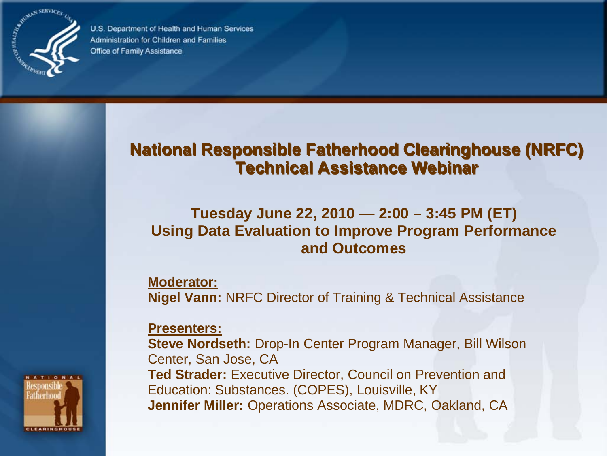

U.S. Department of Health and Human Services Administration for Children and Families Office of Family Assistance

#### **National Responsible Fatherhood Clearinghouse (NRFC) Technical Assistance Webinar**

#### **Tuesday June 22, 2010 — 2:00 – 3:45 PM (ET) Using Data Evaluation to Improve Program Performance and Outcomes**

**Moderator: Nigel Vann:** NRFC Director of Training & Technical Assistance

**Presenters:** 

**Steve Nordseth:** Drop-In Center Program Manager, Bill Wilson Center, San Jose, CA **Ted Strader:** Executive Director, Council on Prevention and Education: Substances. (COPES), Louisville, KY **Jennifer Miller:** Operations Associate, MDRC, Oakland, CA

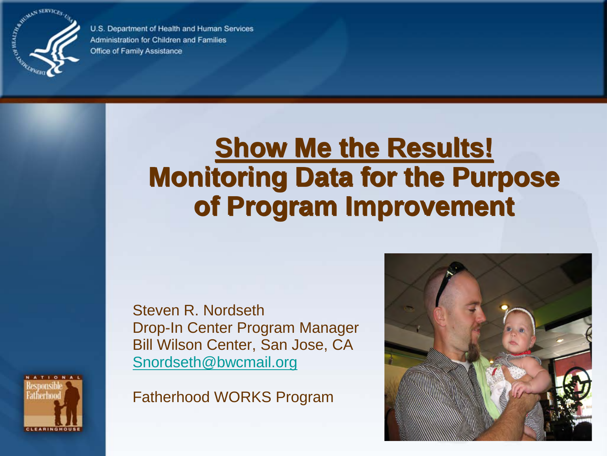

U.S. Department of Health and Human Services Administration for Children and Families Office of Family Assistance

### **Show Me the Results! Monitoring Data for the Purpose of Program Improvement**

Steven R. Nordseth Drop-In Center Program Manager Bill Wilson Center, San Jose, CA [Snordseth@bwcmail.org](mailto:Snordseth@bwcmail.org)

Fatherhood WORKS Program



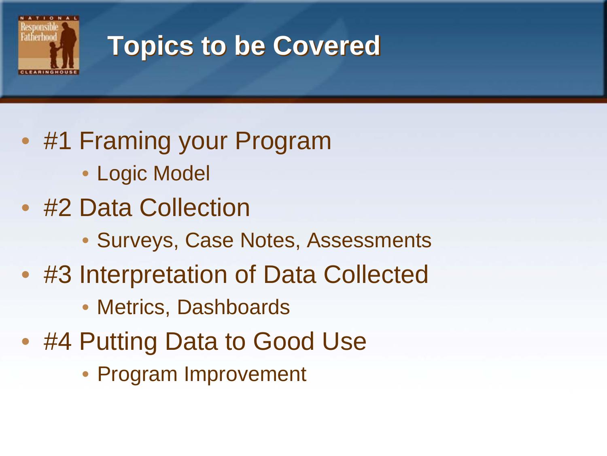

### **Topics to be Covered**

- #1 Framing your Program
	- Logic Model
- #2 Data Collection
	- Surveys, Case Notes, Assessments
- #3 Interpretation of Data Collected
	- Metrics, Dashboards
- #4 Putting Data to Good Use
	- Program Improvement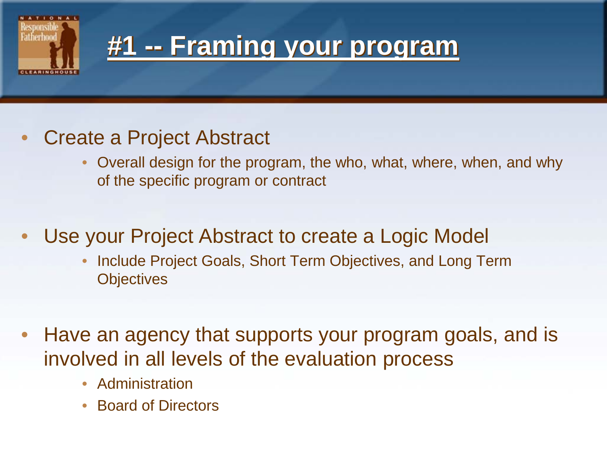

#### **#1 -- Framing your program**

#### • Create a Project Abstract

• Overall design for the program, the who, what, where, when, and why of the specific program or contract

#### Use your Project Abstract to create a Logic Model

- Include Project Goals, Short Term Objectives, and Long Term **Objectives**
- Have an agency that supports your program goals, and is involved in all levels of the evaluation process
	- Administration
	- Board of Directors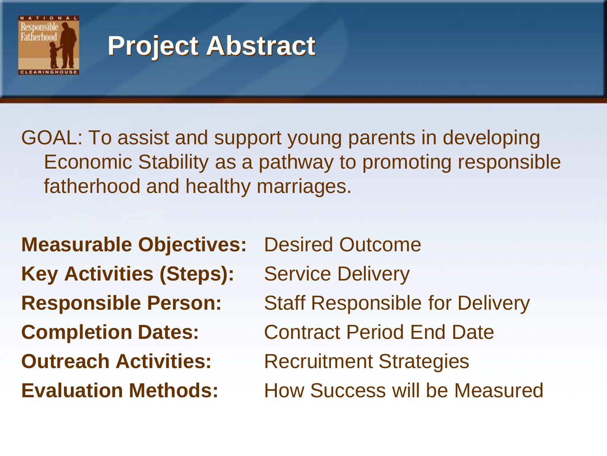

### **Project Abstract**

GOAL: To assist and support young parents in developing Economic Stability as a pathway to promoting responsible fatherhood and healthy marriages.

**Measurable Objectives:** Desired Outcome **Key Activities (Steps):** Service Delivery **Outreach Activities:** Recruitment Strategies

**Responsible Person:** Staff Responsible for Delivery **Completion Dates:** Contract Period End Date **Evaluation Methods:** How Success will be Measured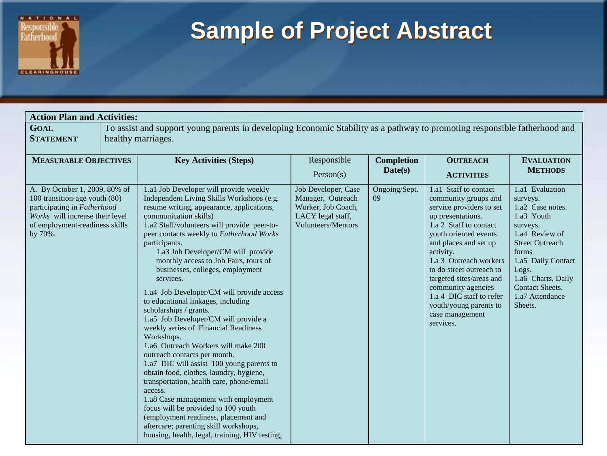

#### **Sample of Project Abstract**

| <b>Action Plan and Activities:</b>                                                                                                                                            |                                                                                                                                                 |                                                                                                                                                                                                                                                                                                                                                                                                                                                                                                                                                                                                                                                                                                                                                                                                                                                                                                                                                                                                                                                          |                                                                                                                  |                              |                                                                                                                                                                                                                                                                                                                                                                                       |                                                                                                                                                                                                                                             |
|-------------------------------------------------------------------------------------------------------------------------------------------------------------------------------|-------------------------------------------------------------------------------------------------------------------------------------------------|----------------------------------------------------------------------------------------------------------------------------------------------------------------------------------------------------------------------------------------------------------------------------------------------------------------------------------------------------------------------------------------------------------------------------------------------------------------------------------------------------------------------------------------------------------------------------------------------------------------------------------------------------------------------------------------------------------------------------------------------------------------------------------------------------------------------------------------------------------------------------------------------------------------------------------------------------------------------------------------------------------------------------------------------------------|------------------------------------------------------------------------------------------------------------------|------------------------------|---------------------------------------------------------------------------------------------------------------------------------------------------------------------------------------------------------------------------------------------------------------------------------------------------------------------------------------------------------------------------------------|---------------------------------------------------------------------------------------------------------------------------------------------------------------------------------------------------------------------------------------------|
| <b>GOAL</b><br><b>STATEMENT</b>                                                                                                                                               | To assist and support young parents in developing Economic Stability as a pathway to promoting responsible fatherhood and<br>healthy marriages. |                                                                                                                                                                                                                                                                                                                                                                                                                                                                                                                                                                                                                                                                                                                                                                                                                                                                                                                                                                                                                                                          |                                                                                                                  |                              |                                                                                                                                                                                                                                                                                                                                                                                       |                                                                                                                                                                                                                                             |
| <b>MEASURABLE OBJECTIVES</b>                                                                                                                                                  |                                                                                                                                                 | <b>Key Activities (Steps)</b>                                                                                                                                                                                                                                                                                                                                                                                                                                                                                                                                                                                                                                                                                                                                                                                                                                                                                                                                                                                                                            | Responsible<br>Person(s)                                                                                         | <b>Completion</b><br>Date(s) | <b>OUTREACH</b><br><b>ACTIVITIES</b>                                                                                                                                                                                                                                                                                                                                                  | <b>EVALUATION</b><br><b>METHODS</b>                                                                                                                                                                                                         |
| A. By October 1, 2009, 80% of<br>100 transition-age youth (80)<br>participating in Fatherhood<br>Works will increase their level<br>of employment-readiness skills<br>by 70%. |                                                                                                                                                 | 1.a1 Job Developer will provide weekly<br>Independent Living Skills Workshops (e.g.<br>resume writing, appearance, applications,<br>communication skills)<br>1.a2 Staff/volunteers will provide peer-to-<br>peer contacts weekly to Fatherhood Works<br>participants.<br>1.a3 Job Developer/CM will provide<br>monthly access to Job Fairs, tours of<br>businesses, colleges, employment<br>services.<br>1.a4 Job Developer/CM will provide access<br>to educational linkages, including<br>scholarships / grants.<br>1.a5 Job Developer/CM will provide a<br>weekly series of Financial Readiness<br>Workshops.<br>1.a6 Outreach Workers will make 200<br>outreach contacts per month.<br>1.a7 DIC will assist 100 young parents to<br>obtain food, clothes, laundry, hygiene,<br>transportation, health care, phone/email<br>access.<br>1.a8 Case management with employment<br>focus will be provided to 100 youth<br>(employment readiness, placement and<br>aftercare; parenting skill workshops,<br>housing, health, legal, training, HIV testing, | Job Developer, Case<br>Manager, Outreach<br>Worker, Job Coach,<br>LACY legal staff,<br><b>Volunteers/Mentors</b> | Ongoing/Sept.<br>09          | 1.a1 Staff to contact<br>community groups and<br>service providers to set<br>up presentations.<br>1.a 2 Staff to contact<br>youth oriented events<br>and places and set up<br>activity.<br>1.a 3 Outreach workers<br>to do street outreach to<br>targeted sites/areas and<br>community agencies<br>1.a 4 DIC staff to refer<br>youth/young parents to<br>case management<br>services. | 1.a1 Evaluation<br>surveys.<br>1.a2 Case notes.<br>1.a3 Youth<br>surveys.<br>1.a4 Review of<br><b>Street Outreach</b><br>forms<br>1.a5 Daily Contact<br>Logs.<br>1.a6 Charts, Daily<br><b>Contact Sheets.</b><br>1.a7 Attendance<br>Sheets. |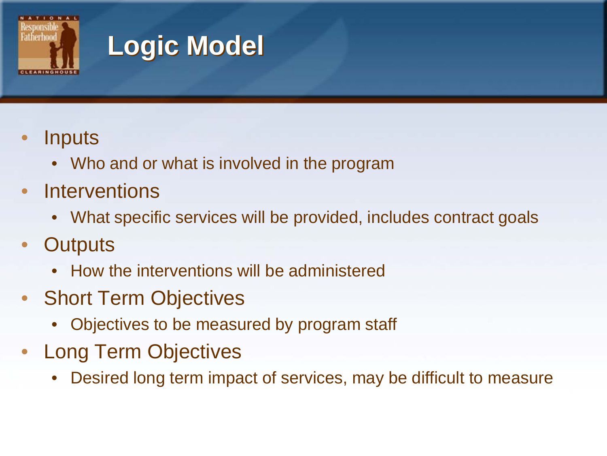

# **Logic Model**

- **Inputs** 
	- Who and or what is involved in the program
- **Interventions** 
	- What specific services will be provided, includes contract goals
- **Outputs** 
	- How the interventions will be administered
- Short Term Objectives
	- Objectives to be measured by program staff
- Long Term Objectives
	- Desired long term impact of services, may be difficult to measure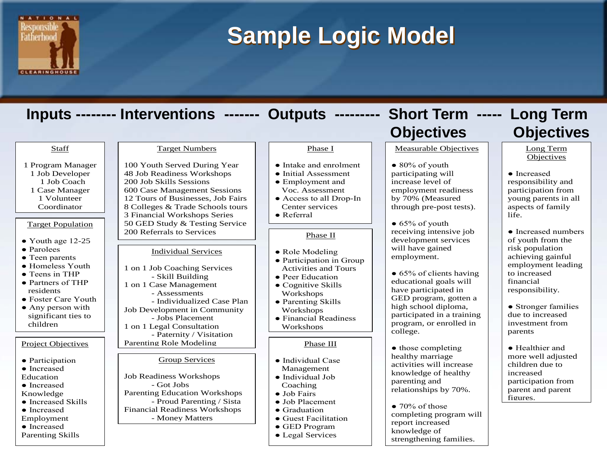

#### **Sample Logic Model**

#### Target Population  $\bullet$  Youth age 12-25 ● Parolees • Teen parents ● Homeless Youth ● Teens in THP ● Partners of THP residents ● Foster Care Youth • Any person with significant ties to children Project Objectives ● Participation ● Increased Education ● Increased Knowledge ● Increased Skills ● Increased Individual Services 1 on 1 Job Coaching Services - Skill Building 1 on 1 Case Management - Assessments - Individualized Case Plan Job Development in Community - Jobs Placement 1 on 1 Legal Consultation - Paternity / Visitation Parenting Role Modeling Target Numbers 100 Youth Served During Year 48 Job Readiness Workshops 200 Job Skills Sessions 600 Case Management Sessions 12 Tours of Businesses, Job Fairs 8 Colleges & Trade Schools tours 3 Financial Workshops Series 50 GED Study & Testing Service 200 Referrals to Services Group Services Job Readiness Workshops - Got Jobs Parenting Education Workshops - Proud Parenting / Sista Financial Readiness Workshops Phase I ● Intake and enrolment ● Initial Assessment • Employment and Voc. Assessment ● Access to all Drop-In Center services ● Referral Phase II • Role Modeling • Participation in Group Activities and Tours • Peer Education ● Cognitive Skills Workshops ● Parenting Skills **Workshops** ● Financial Readiness Workshops Phase III ● Individual Case Management ● Individual Job Coaching ● Job Fairs ● Job Placement ● Graduation Measurable Objectives  $\bullet$  80% of youth participating will increase level of employment readiness by 70% (Measured through pre-post tests).  $\bullet$  65% of youth receiving intensive job development services will have gained employment. • 65% of clients having educational goals will have participated in GED program, gotten a high school diploma, participated in a training program, or enrolled in college. • those completing healthy marriage activities will increase knowledge of healthy parenting and relationships by 70%.  $\bullet$  70% of those Long Term **Objectives** ● Increased responsibility and participation from young parents in all aspects of family life. ● Increased numbers of youth from the risk population achieving gainful employment leading to increased financial responsibility. • Stronger families due to increased investment from parents ● Healthier and more well adjusted children due to increased participation from parent and parent figures. **Staff** 1 Program Manager 1 Job Developer 1 Job Coach 1 Case Manager 1 Volunteer Coordinator **Inputs -------- Interventions ------- Outputs --------- Short Term ----- Long Term Objectives Objectives**

#### Employment ● Increased

Parenting Skills

- Money Matters

- Guest Facilitation
- GED Program
- Legal Services

completing program will report increased knowledge of strengthening families.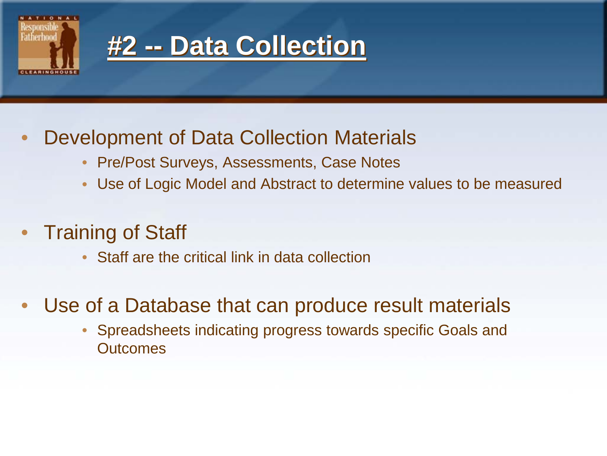



#### • Development of Data Collection Materials

- Pre/Post Surveys, Assessments, Case Notes
- Use of Logic Model and Abstract to determine values to be measured
- **Training of Staff** 
	- Staff are the critical link in data collection
- Use of a Database that can produce result materials
	- Spreadsheets indicating progress towards specific Goals and **Outcomes**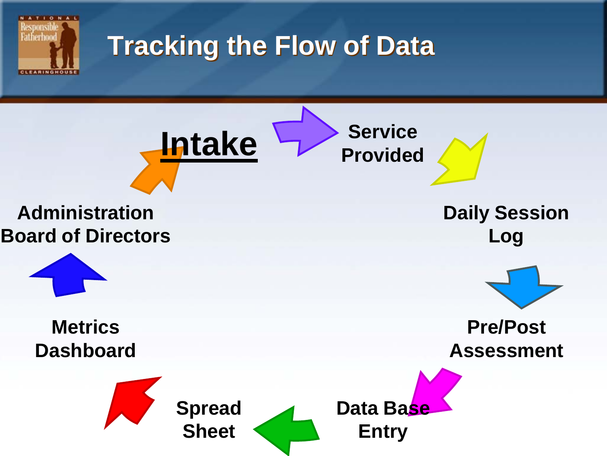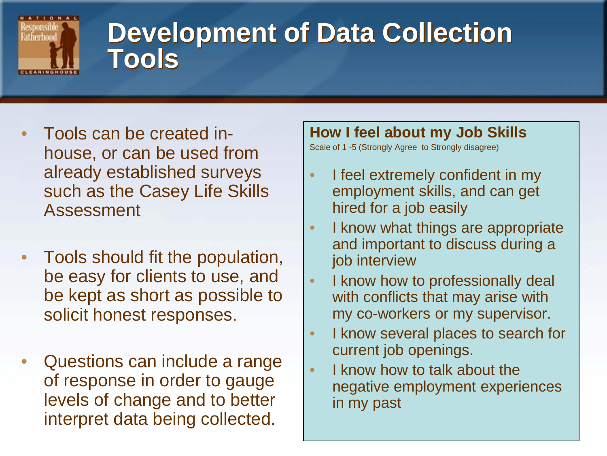

#### **Development of Data Collection Tools**

- Tools can be created inhouse, or can be used from already established surveys such as the Casey Life Skills Assessment
- Tools should fit the population, be easy for clients to use, and be kept as short as possible to solicit honest responses.
- Questions can include a range of response in order to gauge levels of change and to better interpret data being collected.

#### **How I feel about my Job Skills**

Scale of 1 -5 (Strongly Agree to Strongly disagree)

- I feel extremely confident in my employment skills, and can get hired for a job easily
- I know what things are appropriate and important to discuss during a job interview
- I know how to professionally deal with conflicts that may arise with my co-workers or my supervisor.
- I know several places to search for current job openings.
- I know how to talk about the negative employment experiences in my past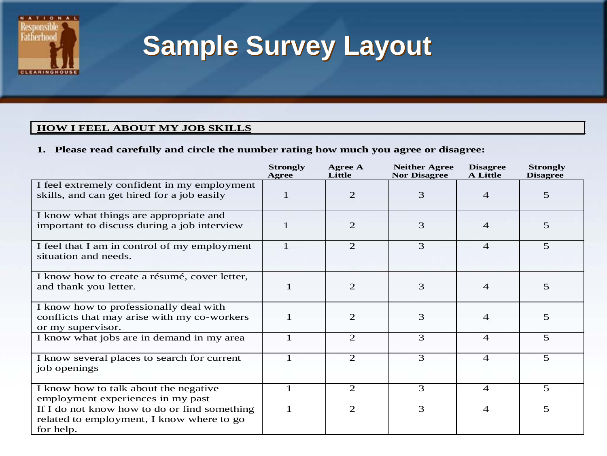

### **Sample Survey Layout**

#### **HOW I FEEL ABOUT MY JOB SKILLS**

#### **1. Please read carefully and circle the number rating how much you agree or disagree:**

|                                                                                                            | <b>Strongly</b><br>Agree | Agree A<br>Little | <b>Neither Agree</b><br><b>Nor Disagree</b> | <b>Disagree</b><br><b>A</b> Little | <b>Strongly</b><br><b>Disagree</b> |
|------------------------------------------------------------------------------------------------------------|--------------------------|-------------------|---------------------------------------------|------------------------------------|------------------------------------|
| I feel extremely confident in my employment<br>skills, and can get hired for a job easily                  | 1                        | 2                 | 3                                           | $\overline{4}$                     | $\overline{5}$                     |
| I know what things are appropriate and<br>important to discuss during a job interview                      | 1                        | 2                 | 3                                           | $\overline{4}$                     | 5 <sup>5</sup>                     |
| I feel that I am in control of my employment<br>situation and needs.                                       | $\mathbf{1}$             | 2                 | 3                                           | $\overline{4}$                     | $\overline{5}$                     |
| I know how to create a résumé, cover letter,<br>and thank you letter.                                      | $\mathbf{1}$             | 2                 | 3                                           | $\overline{\mathcal{A}}$           | 5                                  |
| I know how to professionally deal with<br>conflicts that may arise with my co-workers<br>or my supervisor. | $\mathbf{1}$             | 2                 | 3                                           | $\overline{4}$                     | 5                                  |
| I know what jobs are in demand in my area                                                                  | $\mathbf{1}$             | 2                 | 3                                           | $\overline{4}$                     | $\overline{5}$                     |
| I know several places to search for current<br>job openings                                                | $\mathbf{1}$             | 2                 | 3                                           | $\overline{4}$                     | $\overline{5}$                     |
| I know how to talk about the negative<br>employment experiences in my past                                 | $\mathbf{1}$             | 2                 | 3                                           | $\overline{4}$                     | 5                                  |
| If I do not know how to do or find something<br>related to employment, I know where to go<br>for help.     | $\mathbf{1}$             | 2                 | 3                                           | $\overline{4}$                     | 5                                  |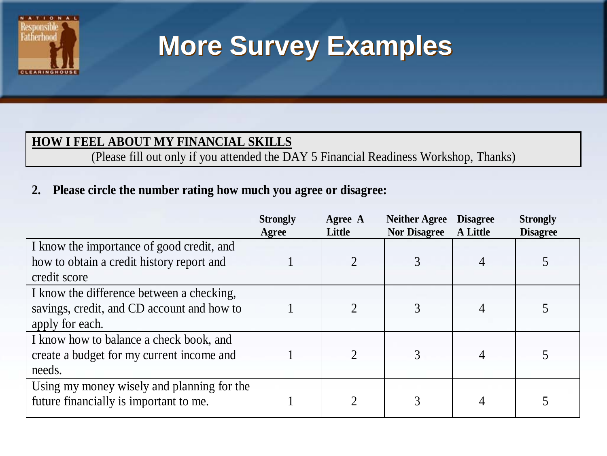

### **More Survey Examples**

#### **HOW I FEEL ABOUT MY FINANCIAL SKILLS**

(Please fill out only if you attended the DAY 5 Financial Readiness Workshop, Thanks)

#### **2. Please circle the number rating how much you agree or disagree:**

|                                            | <b>Strongly</b><br>Agree | Agree A<br>Little | <b>Neither Agree</b><br><b>Nor Disagree</b> | <b>Disagree</b><br><b>A</b> Little | <b>Strongly</b><br><b>Disagree</b> |
|--------------------------------------------|--------------------------|-------------------|---------------------------------------------|------------------------------------|------------------------------------|
| I know the importance of good credit, and  |                          |                   |                                             |                                    |                                    |
| how to obtain a credit history report and  |                          |                   | 3                                           |                                    |                                    |
| credit score                               |                          |                   |                                             |                                    |                                    |
| I know the difference between a checking,  |                          |                   |                                             |                                    |                                    |
| savings, credit, and CD account and how to |                          | 2                 | 3                                           |                                    |                                    |
| apply for each.                            |                          |                   |                                             |                                    |                                    |
| I know how to balance a check book, and    |                          |                   |                                             |                                    |                                    |
| create a budget for my current income and  |                          | $\overline{2}$    | 3                                           |                                    |                                    |
| needs.                                     |                          |                   |                                             |                                    |                                    |
| Using my money wisely and planning for the |                          |                   |                                             |                                    |                                    |
| future financially is important to me.     |                          |                   | 3                                           |                                    |                                    |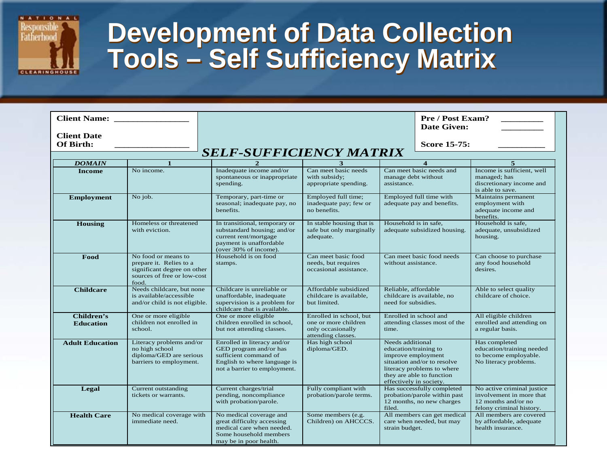

#### **Development of Data Collection Tools – Self Sufficiency Matrix**

| <b>Client Name:</b>             |                                                                                                                       |                                                                                                                                                | <b>Pre / Post Exam?</b><br><b>Date Given:</b>                                              |                                                                                                                                                                                      |                                                                                         |                                                                                                           |  |
|---------------------------------|-----------------------------------------------------------------------------------------------------------------------|------------------------------------------------------------------------------------------------------------------------------------------------|--------------------------------------------------------------------------------------------|--------------------------------------------------------------------------------------------------------------------------------------------------------------------------------------|-----------------------------------------------------------------------------------------|-----------------------------------------------------------------------------------------------------------|--|
| <b>Client Date</b><br>Of Birth: |                                                                                                                       |                                                                                                                                                | Score 15-75:                                                                               |                                                                                                                                                                                      |                                                                                         |                                                                                                           |  |
|                                 |                                                                                                                       | <b>SELF-SUFFICIENCY MATRIX</b>                                                                                                                 |                                                                                            |                                                                                                                                                                                      |                                                                                         |                                                                                                           |  |
| <b>DOMAIN</b>                   | $\mathbf{1}$                                                                                                          |                                                                                                                                                |                                                                                            |                                                                                                                                                                                      |                                                                                         | 5                                                                                                         |  |
| <b>Income</b>                   | No income.                                                                                                            | Inadequate income and/or<br>spontaneous or inappropriate<br>spending.                                                                          | Can meet basic needs<br>with subsidy;<br>appropriate spending.                             | manage debt without<br>assistance.                                                                                                                                                   | Can meet basic needs and                                                                | Income is sufficient, well<br>managed; has<br>discretionary income and<br>is able to save.                |  |
| Employment                      | No job.                                                                                                               | Temporary, part-time or<br>seasonal; inadequate pay, no<br>benefits.                                                                           | Employed full time;<br>inadequate pay; few or<br>no benefits.                              | Employed full time with<br>adequate pay and benefits.                                                                                                                                |                                                                                         | Maintains permanent<br>employment with<br>adequate income and<br>benefits.                                |  |
| Housing                         | Homeless or threatened<br>with eviction.                                                                              | In transitional, temporary or<br>substandard housing; and/or<br>current rent/mortgage<br>payment is unaffordable<br>(over 30% of income).      | In stable housing that is<br>safe but only marginally<br>adequate.                         | Household is in safe,<br>adequate subsidized housing.                                                                                                                                |                                                                                         | Household is safe,<br>adequate, unsubsidized<br>housing.                                                  |  |
| Food                            | No food or means to<br>prepare it. Relies to a<br>significant degree on other<br>sources of free or low-cost<br>food. | Household is on food<br>stamps.                                                                                                                | Can meet basic food<br>needs, but requires<br>occasional assistance.                       | Can meet basic food needs<br>without assistance.                                                                                                                                     |                                                                                         | Can choose to purchase<br>any food household<br>desires.                                                  |  |
| <b>Childcare</b>                | Needs childcare, but none<br>is available/accessible<br>and/or child is not eligible.                                 | Childcare is unreliable or<br>unaffordable, inadequate<br>supervision is a problem for<br>childcare that is available.                         | Affordable subsidized<br>childcare is available,<br>but limited.                           | Reliable, affordable<br>childcare is available, no<br>need for subsidies.                                                                                                            |                                                                                         | Able to select quality<br>childcare of choice.                                                            |  |
| Children's<br><b>Education</b>  | One or more eligible<br>children not enrolled in<br>school.                                                           | One or more eligible<br>children enrolled in school,<br>but not attending classes.                                                             | Enrolled in school, but<br>one or more children<br>only occasionally<br>attending classes. | Enrolled in school and<br>attending classes most of the<br>time.                                                                                                                     |                                                                                         | All eligible children<br>enrolled and attending on<br>a regular basis.                                    |  |
| <b>Adult Education</b>          | Literacy problems and/or<br>no high school<br>diploma/GED are serious<br>barriers to employment.                      | Enrolled in literacy and/or<br>GED program and/or has<br>sufficient command of<br>English to where language is<br>not a barrier to employment. | Has high school<br>diploma/GED.                                                            | Needs additional<br>education/training to<br>improve employment<br>situation and/or to resolve<br>literacy problems to where<br>they are able to function<br>effectively in society. |                                                                                         | Has completed<br>education/training needed<br>to become employable.<br>No literacy problems.              |  |
| Legal                           | Current outstanding<br>tickets or warrants.                                                                           | Current charges/trial<br>pending, noncompliance<br>with probation/parole.                                                                      | Fully compliant with<br>probation/parole terms.                                            | filed.                                                                                                                                                                               | Has successfully completed<br>probation/parole within past<br>12 months, no new charges | No active criminal justice<br>involvement in more that<br>12 months and/or no<br>felony criminal history. |  |
| <b>Health Care</b>              | No medical coverage with<br>immediate need.                                                                           | No medical coverage and<br>great difficulty accessing<br>medical care when needed.<br>Some household members<br>may be in poor health.         | Some members (e.g.<br>Children) on AHCCCS.                                                 | All members can get medical<br>care when needed, but may<br>strain budget.                                                                                                           |                                                                                         | All members are covered<br>by affordable, adequate<br>health insurance.                                   |  |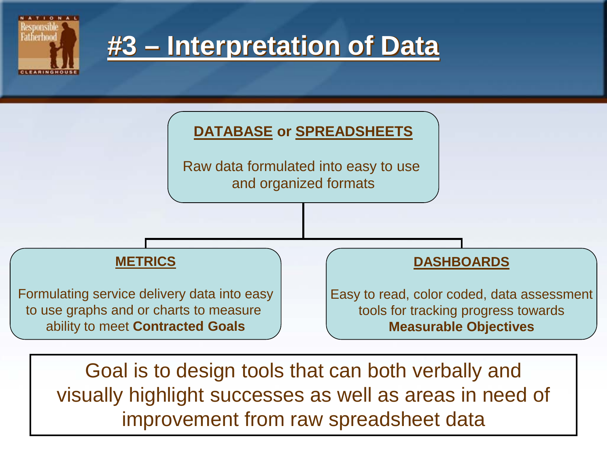

Goal is to design tools that can both verbally and visually highlight successes as well as areas in need of improvement from raw spreadsheet data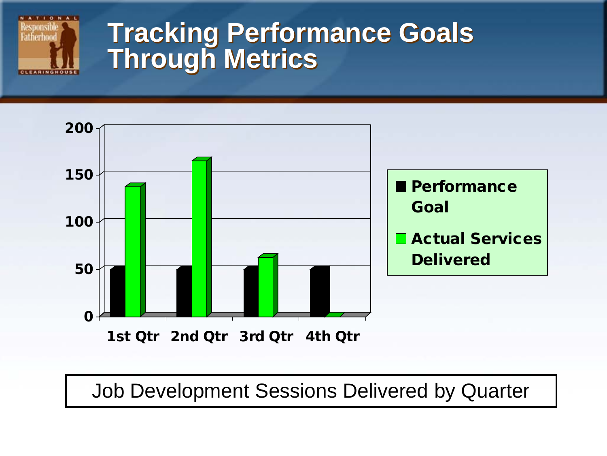

#### **Tracking Performance Goals Through Metrics**



Job Development Sessions Delivered by Quarter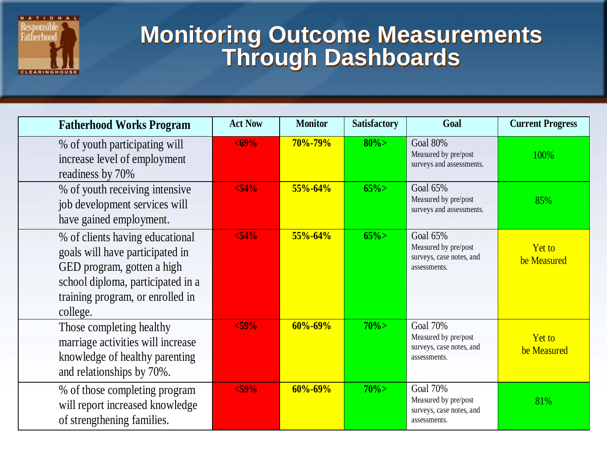

#### **Monitoring Outcome Measurements Through Dashboards**

| <b>Fatherhood Works Program</b>                                                                                                                                                       | <b>Act Now</b> | <b>Monitor</b> | <b>Satisfactory</b> | Goal                                                                                | <b>Current Progress</b>      |
|---------------------------------------------------------------------------------------------------------------------------------------------------------------------------------------|----------------|----------------|---------------------|-------------------------------------------------------------------------------------|------------------------------|
| % of youth participating will<br>increase level of employment<br>readiness by 70%                                                                                                     | $69%$          | $70\% - 79\%$  | $80\%$              | Goal 80%<br>Measured by pre/post<br>surveys and assessments.                        | 100%                         |
| % of youth receiving intensive<br>job development services will<br>have gained employment.                                                                                            | $54%$          | $55\% - 64\%$  | $65\%$              | Goal 65%<br>Measured by pre/post<br>surveys and assessments.                        | 85%                          |
| % of clients having educational<br>goals will have participated in<br>GED program, gotten a high<br>school diploma, participated in a<br>training program, or enrolled in<br>college. | < 54%          | $55\% - 64\%$  | $65\%$              | Goal 65%<br>Measured by pre/post<br>surveys, case notes, and<br>assessments.        | <b>Yet to</b><br>be Measured |
| Those completing healthy<br>marriage activities will increase<br>knowledge of healthy parenting<br>and relationships by 70%.                                                          | $<$ 59%        | $60\% - 69\%$  | $70\%$              | <b>Goal 70%</b><br>Measured by pre/post<br>surveys, case notes, and<br>assessments. | <b>Yet to</b><br>be Measured |
| % of those completing program<br>will report increased knowledge<br>of strengthening families.                                                                                        | $<$ 59%        | $60\% - 69\%$  | $70\%$              | <b>Goal 70%</b><br>Measured by pre/post<br>surveys, case notes, and<br>assessments. | 81%                          |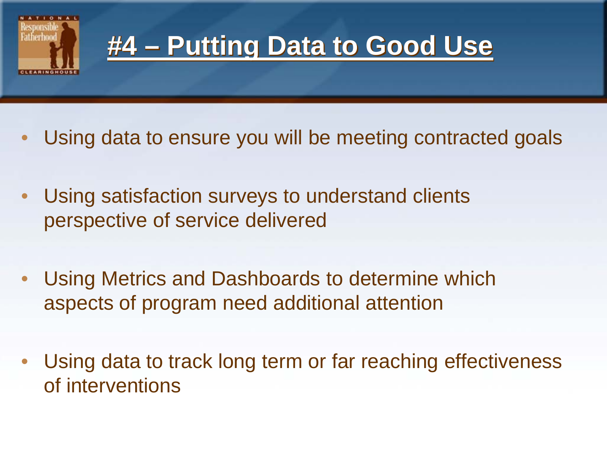

#### **#4 – Putting Data to Good Use**

- Using data to ensure you will be meeting contracted goals
- Using satisfaction surveys to understand clients perspective of service delivered
- Using Metrics and Dashboards to determine which aspects of program need additional attention
- Using data to track long term or far reaching effectiveness of interventions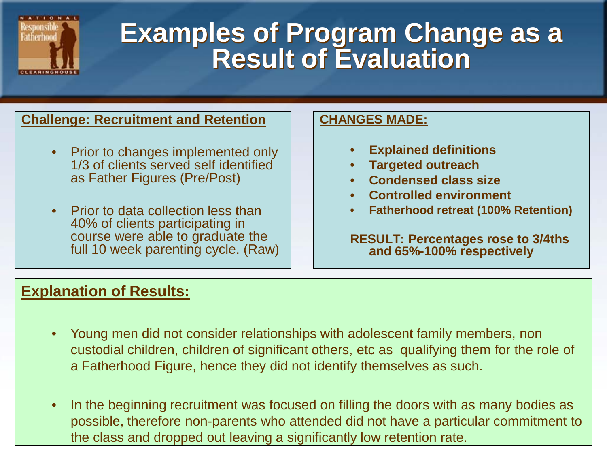

#### **Examples of Program Change as a Result of Evaluation**

#### **Challenge: Recruitment and Retention**

- Prior to changes implemented only 1/3 of clients served self identified as Father Figures (Pre/Post)
- Prior to data collection less than 40% of clients participating in course were able to graduate the full 10 week parenting cycle. (Raw)

#### **CHANGES MADE:**

- **Explained definitions**
- **Targeted outreach**
- **Condensed class size**
- **Controlled environment**
- **Fatherhood retreat (100% Retention)**

**RESULT: Percentages rose to 3/4ths and 65%-100% respectively** 

#### **Explanation of Results:**

- Young men did not consider relationships with adolescent family members, non custodial children, children of significant others, etc as qualifying them for the role of a Fatherhood Figure, hence they did not identify themselves as such.
- In the beginning recruitment was focused on filling the doors with as many bodies as possible, therefore non-parents who attended did not have a particular commitment to the class and dropped out leaving a significantly low retention rate.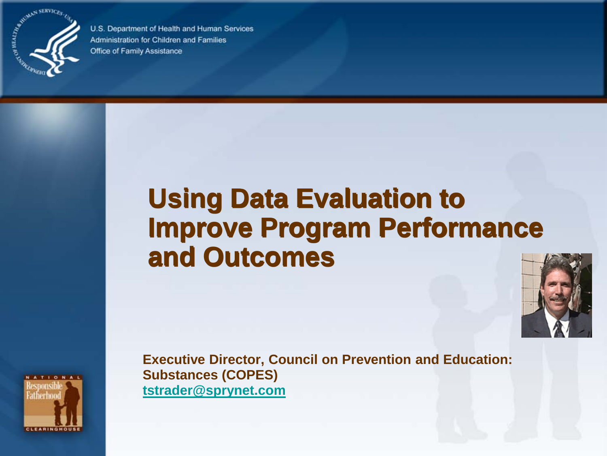

U.S. Department of Health and Human Services Administration for Children and Families Office of Family Assistance

### **Using Data Evaluation to Improve Program Performance and Outcomes**





**Executive Director, Council on Prevention and Education: Substances (COPES) [tstrader@sprynet.com](mailto:tstrader@sprynet.com)**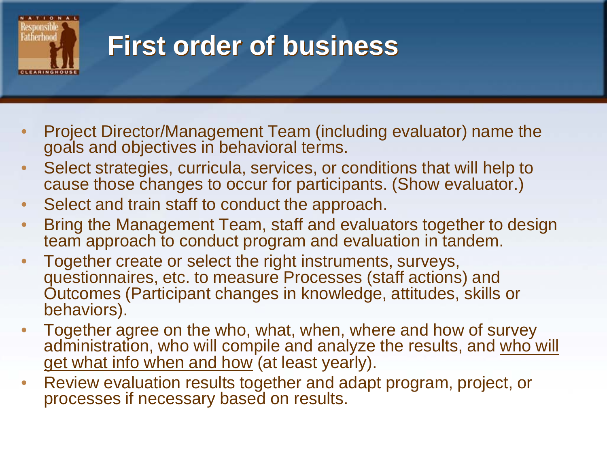

### **First order of business**

- Project Director/Management Team (including evaluator) name the goals and objectives in behavioral terms.
- Select strategies, curricula, services, or conditions that will help to cause those changes to occur for participants. (Show evaluator.)
- Select and train staff to conduct the approach.
- Bring the Management Team, staff and evaluators together to design team approach to conduct program and evaluation in tandem.
- Together create or select the right instruments, surveys, questionnaires, etc. to measure Processes (staff actions) and Outcomes (Participant changes in knowledge, attitudes, skills or behaviors).
- Together agree on the who, what, when, where and how of survey administration, who will compile and analyze the results, and who will get what info when and how (at least yearly).
- Review evaluation results together and adapt program, project, or processes if necessary based on results.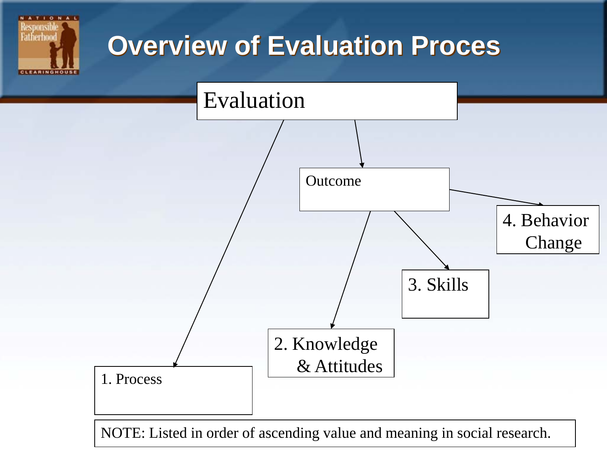

NOTE: Listed in order of ascending value and meaning in social research.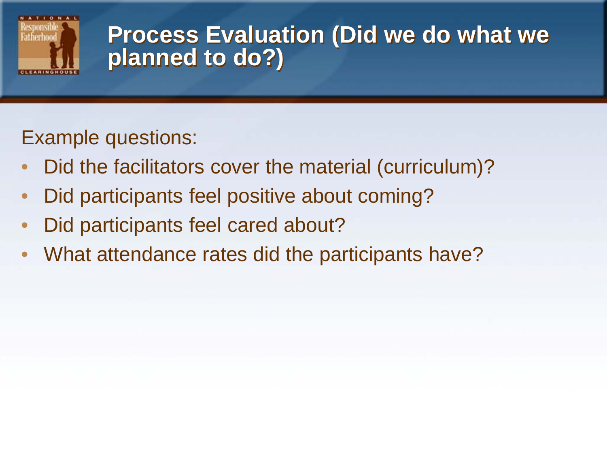

#### **Process Evaluation (Did we do what we planned to do?)**

#### Example questions:

- Did the facilitators cover the material (curriculum)?
- Did participants feel positive about coming?
- Did participants feel cared about?
- What attendance rates did the participants have?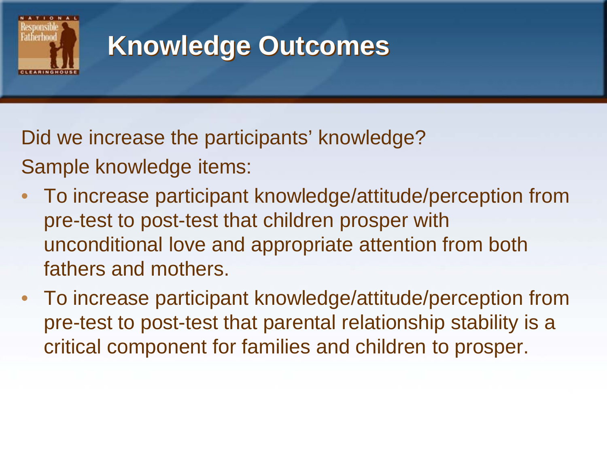

### **Knowledge Outcomes**

Did we increase the participants' knowledge? Sample knowledge items:

- To increase participant knowledge/attitude/perception from pre-test to post-test that children prosper with unconditional love and appropriate attention from both fathers and mothers.
- To increase participant knowledge/attitude/perception from pre-test to post-test that parental relationship stability is a critical component for families and children to prosper.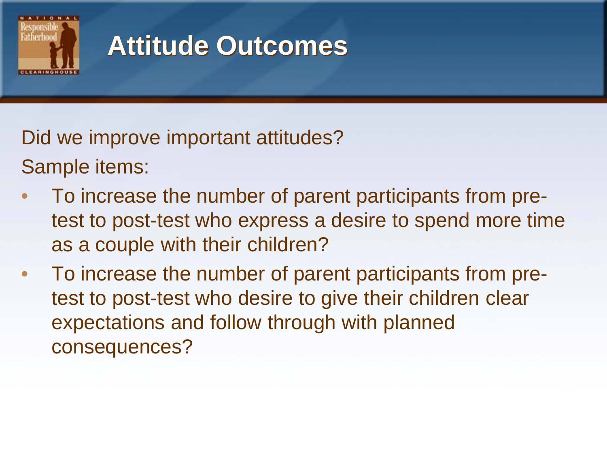

#### **Attitude Outcomes**

Did we improve important attitudes? Sample items:

- To increase the number of parent participants from pretest to post-test who express a desire to spend more time as a couple with their children?
- To increase the number of parent participants from pretest to post-test who desire to give their children clear expectations and follow through with planned consequences?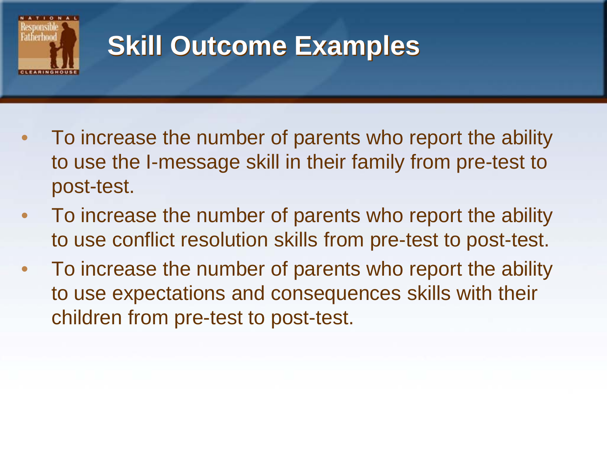

### **Skill Outcome Examples**

- To increase the number of parents who report the ability to use the I-message skill in their family from pre-test to post-test.
- To increase the number of parents who report the ability to use conflict resolution skills from pre-test to post-test.
- To increase the number of parents who report the ability to use expectations and consequences skills with their children from pre-test to post-test.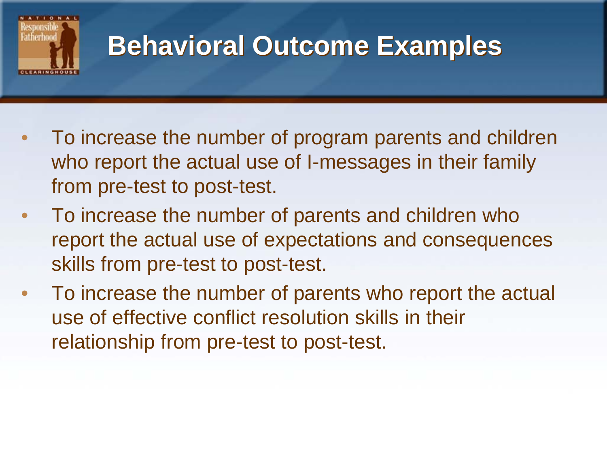

#### **Behavioral Outcome Examples**

- To increase the number of program parents and children who report the actual use of I-messages in their family from pre-test to post-test.
- To increase the number of parents and children who report the actual use of expectations and consequences skills from pre-test to post-test.
- To increase the number of parents who report the actual use of effective conflict resolution skills in their relationship from pre-test to post-test.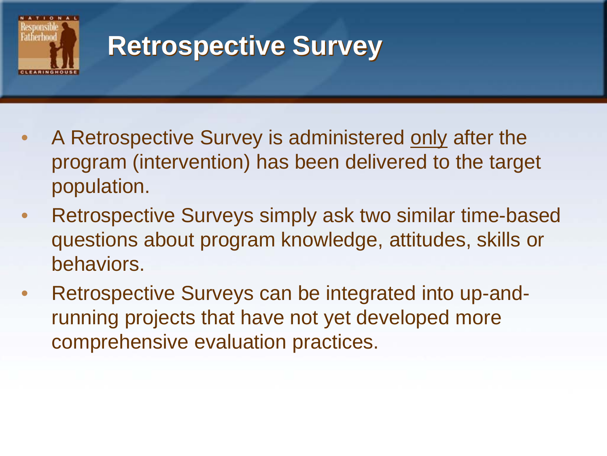

### **Retrospective Survey**

- A Retrospective Survey is administered only after the program (intervention) has been delivered to the target population.
- Retrospective Surveys simply ask two similar time-based questions about program knowledge, attitudes, skills or behaviors.
- Retrospective Surveys can be integrated into up-andrunning projects that have not yet developed more comprehensive evaluation practices.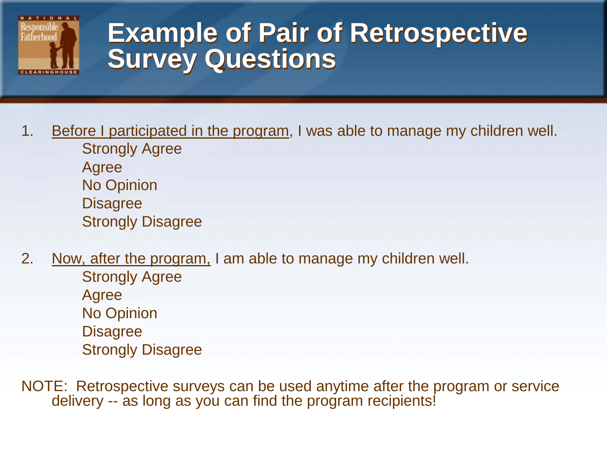

#### **Example of Pair of Retrospective Survey Questions**

- 1. Before I participated in the program, I was able to manage my children well. Strongly Agree Agree No Opinion **Disagree** Strongly Disagree
- 2. Now, after the program, I am able to manage my children well. Strongly Agree Agree No Opinion **Disagree** Strongly Disagree
- NOTE: Retrospective surveys can be used anytime after the program or service delivery -- as long as you can find the program recipients!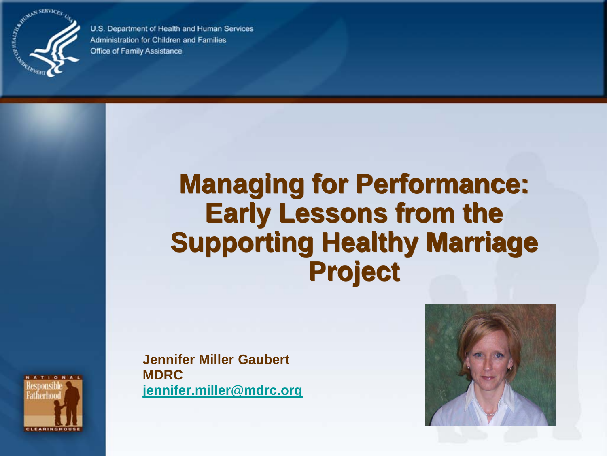

U.S. Department of Health and Human Services Administration for Children and Families Office of Family Assistance

#### **Managing for Performance: Early Lessons from the Supporting Healthy Marriage Project**

**Jennifer Miller Gaubert MDRC jennifer.miller@mdrc.org**



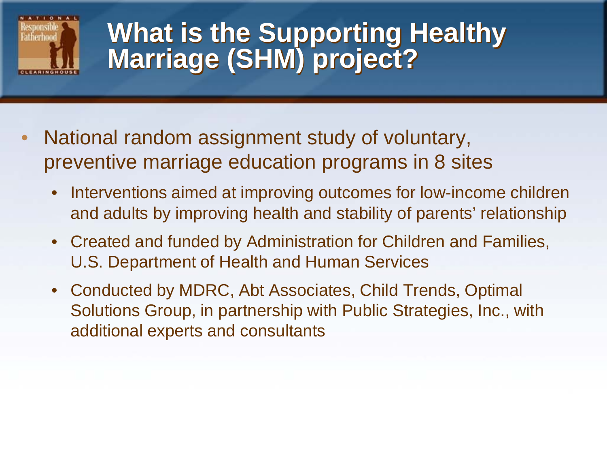

#### **What is the Supporting Healthy Marriage (SHM) project?**

- National random assignment study of voluntary, preventive marriage education programs in 8 sites
	- Interventions aimed at improving outcomes for low-income children and adults by improving health and stability of parents' relationship
	- Created and funded by Administration for Children and Families, U.S. Department of Health and Human Services
	- Conducted by MDRC, Abt Associates, Child Trends, Optimal Solutions Group, in partnership with Public Strategies, Inc., with additional experts and consultants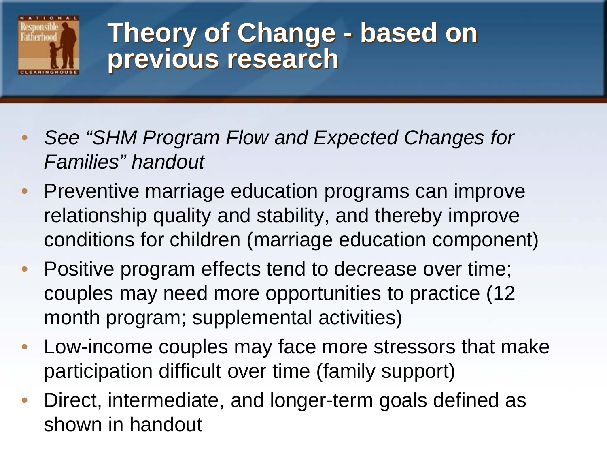

#### **Theory of Change - based on previous research**

- *See "SHM Program Flow and Expected Changes for Families" handout*
- Preventive marriage education programs can improve relationship quality and stability, and thereby improve conditions for children (marriage education component)
- Positive program effects tend to decrease over time; couples may need more opportunities to practice (12 month program; supplemental activities)
- Low-income couples may face more stressors that make participation difficult over time (family support)
- Direct, intermediate, and longer-term goals defined as shown in handout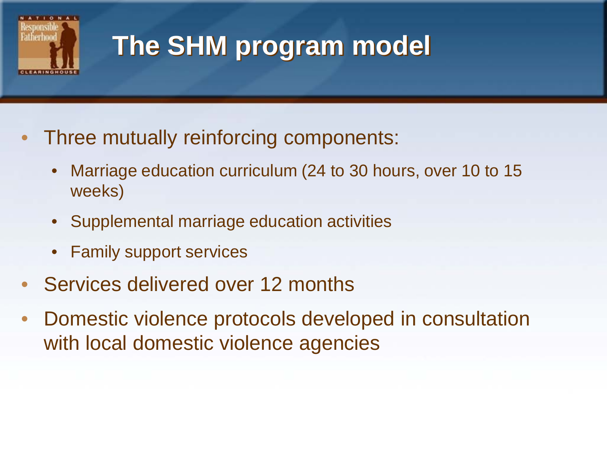

# **The SHM program model**

- Three mutually reinforcing components:
	- Marriage education curriculum (24 to 30 hours, over 10 to 15 weeks)
	- Supplemental marriage education activities
	- Family support services
- Services delivered over 12 months
- Domestic violence protocols developed in consultation with local domestic violence agencies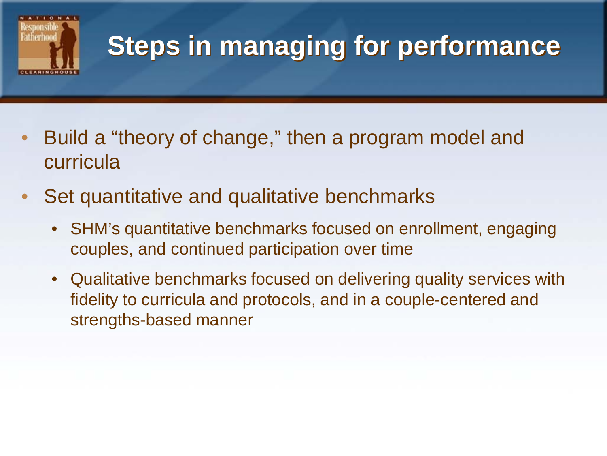

## **Steps in managing for performance**

- Build a "theory of change," then a program model and curricula
- Set quantitative and qualitative benchmarks
	- SHM's quantitative benchmarks focused on enrollment, engaging couples, and continued participation over time
	- Qualitative benchmarks focused on delivering quality services with fidelity to curricula and protocols, and in a couple-centered and strengths-based manner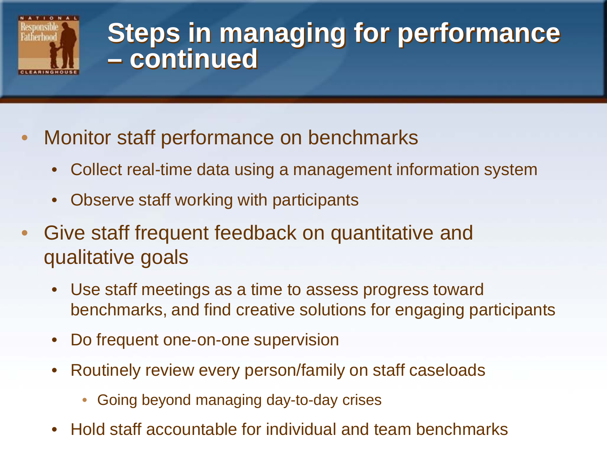

#### **Steps in managing for performance – continued**

- Monitor staff performance on benchmarks
	- Collect real-time data using a management information system
	- Observe staff working with participants
- Give staff frequent feedback on quantitative and qualitative goals
	- Use staff meetings as a time to assess progress toward benchmarks, and find creative solutions for engaging participants
	- Do frequent one-on-one supervision
	- Routinely review every person/family on staff caseloads
		- Going beyond managing day-to-day crises
	- Hold staff accountable for individual and team benchmarks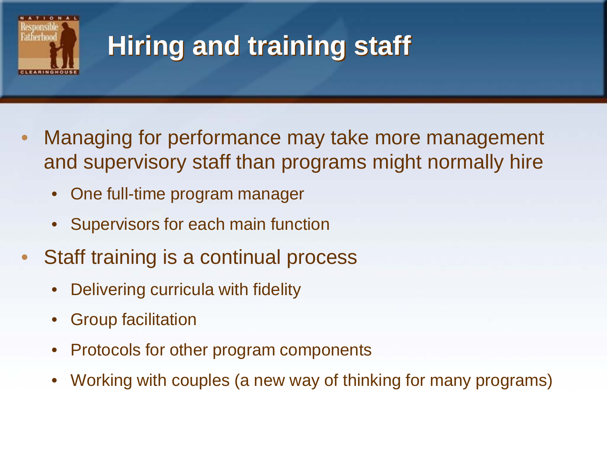

# **Hiring and training staff**

- Managing for performance may take more management and supervisory staff than programs might normally hire
	- One full-time program manager
	- Supervisors for each main function
- Staff training is a continual process
	- Delivering curricula with fidelity
	- Group facilitation
	- Protocols for other program components
	- Working with couples (a new way of thinking for many programs)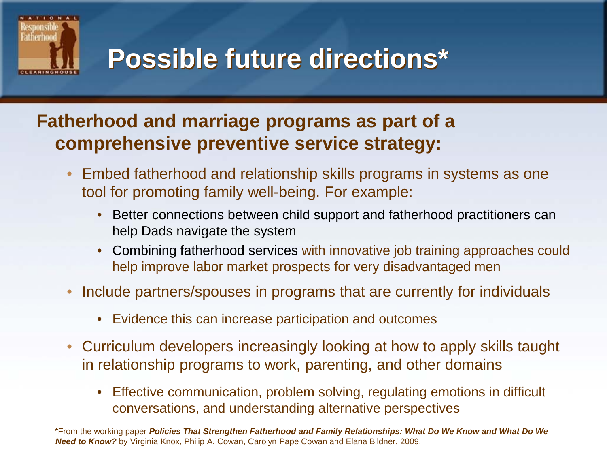

### **Possible future directions\***

#### **Fatherhood and marriage programs as part of a comprehensive preventive service strategy:**

- Embed fatherhood and relationship skills programs in systems as one tool for promoting family well-being. For example:
	- Better connections between child support and fatherhood practitioners can help Dads navigate the system
	- Combining fatherhood services with innovative job training approaches could help improve labor market prospects for very disadvantaged men
- Include partners/spouses in programs that are currently for individuals
	- Evidence this can increase participation and outcomes
- Curriculum developers increasingly looking at how to apply skills taught in relationship programs to work, parenting, and other domains
	- Effective communication, problem solving, regulating emotions in difficult conversations, and understanding alternative perspectives

\*From the working paper *Policies That Strengthen Fatherhood and Family Relationships: What Do We Know and What Do We Need to Know?* by Virginia Knox, Philip A. Cowan, Carolyn Pape Cowan and Elana Bildner, 2009.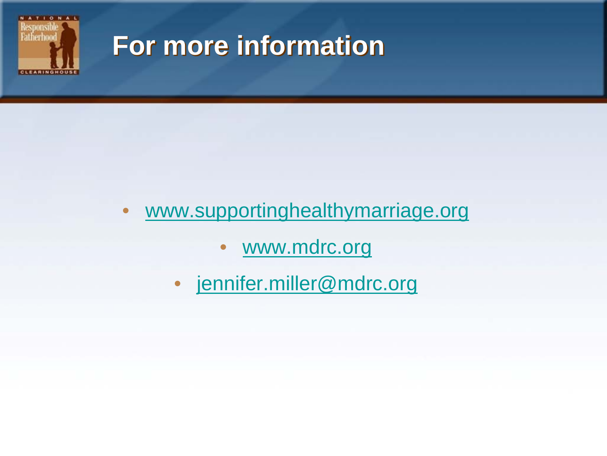

#### **For more information**

#### • [www.supportinghealthymarriage.org](http://www.supportinghealthymarriage.org/)

- [www.mdrc.org](http://www.mdrc.org/)
- [jennifer.miller@mdrc.org](mailto:jennifer.miller@mdrc.org)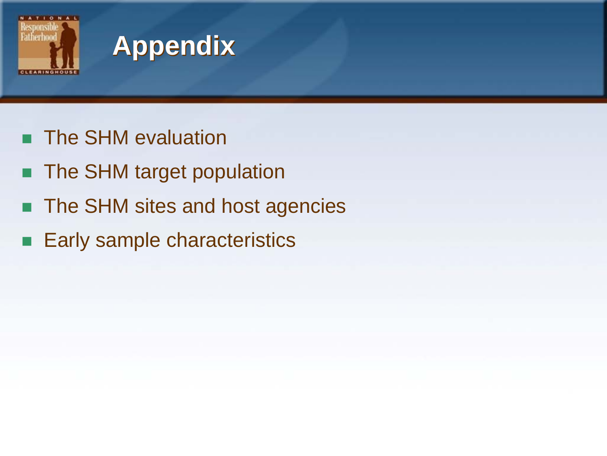

### **Appendix**

- **The SHM evaluation**
- The SHM target population
- The SHM sites and host agencies
- Early sample characteristics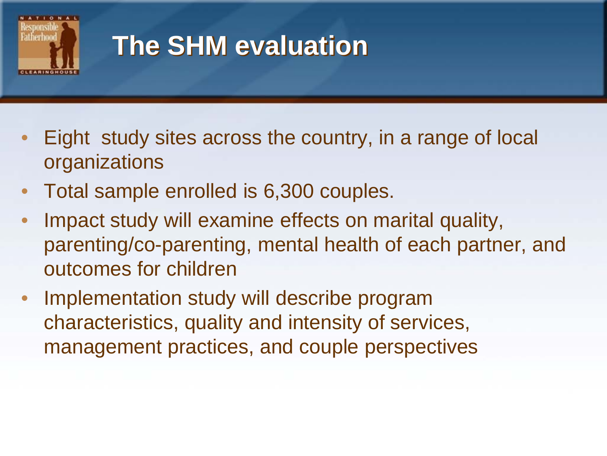

### **The SHM evaluation**

- Eight study sites across the country, in a range of local organizations
- Total sample enrolled is 6,300 couples.
- Impact study will examine effects on marital quality, parenting/co-parenting, mental health of each partner, and outcomes for children
- Implementation study will describe program characteristics, quality and intensity of services, management practices, and couple perspectives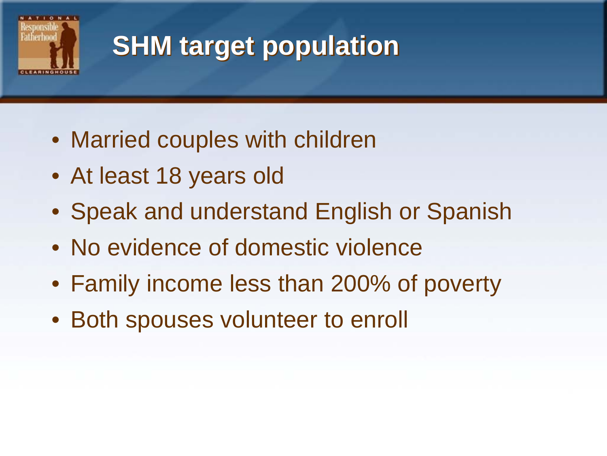

## **SHM target population**

- Married couples with children
- At least 18 years old
- Speak and understand English or Spanish
- No evidence of domestic violence
- Family income less than 200% of poverty
- Both spouses volunteer to enroll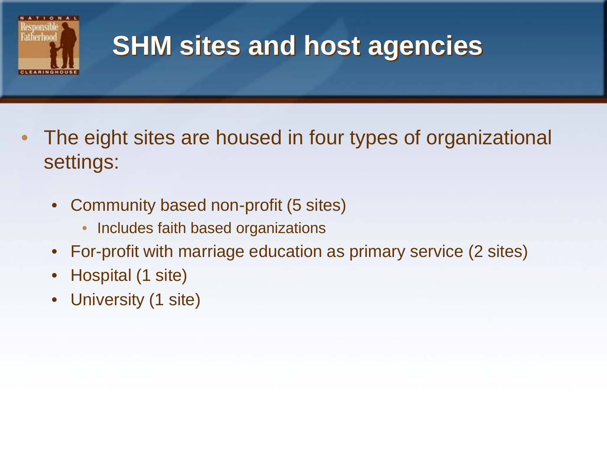

### **SHM sites and host agencies**

- The eight sites are housed in four types of organizational settings:
	- Community based non-profit (5 sites)
		- Includes faith based organizations
	- For-profit with marriage education as primary service (2 sites)
	- Hospital (1 site)
	- University (1 site)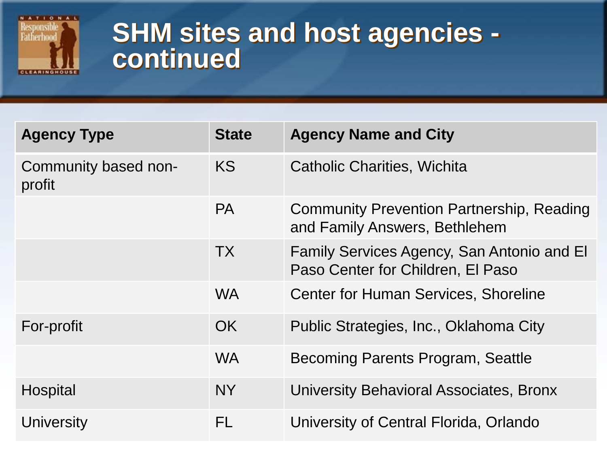

# **SHM sites and host agencies - continued**

| <b>Agency Type</b>             | <b>State</b> | <b>Agency Name and City</b>                                                       |
|--------------------------------|--------------|-----------------------------------------------------------------------------------|
| Community based non-<br>profit | <b>KS</b>    | <b>Catholic Charities, Wichita</b>                                                |
|                                | <b>PA</b>    | <b>Community Prevention Partnership, Reading</b><br>and Family Answers, Bethlehem |
|                                | <b>TX</b>    | Family Services Agency, San Antonio and El<br>Paso Center for Children, El Paso   |
|                                | <b>WA</b>    | <b>Center for Human Services, Shoreline</b>                                       |
| For-profit                     | OK.          | Public Strategies, Inc., Oklahoma City                                            |
|                                | <b>WA</b>    | Becoming Parents Program, Seattle                                                 |
| Hospital                       | <b>NY</b>    | University Behavioral Associates, Bronx                                           |
| University                     | <b>FL</b>    | University of Central Florida, Orlando                                            |